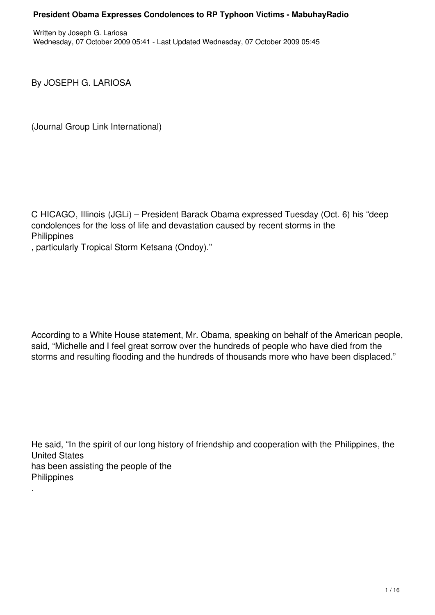By JOSEPH G. LARIOSA

(Journal Group Link International)

C HICAGO, Illinois (JGLi) – President Barack Obama expressed Tuesday (Oct. 6) his "deep condolences for the loss of life and devastation caused by recent storms in the **Philippines** 

, particularly Tropical Storm Ketsana (Ondoy)."

According to a White House statement, Mr. Obama, speaking on behalf of the American people, said, "Michelle and I feel great sorrow over the hundreds of people who have died from the storms and resulting flooding and the hundreds of thousands more who have been displaced."

He said, "In the spirit of our long history of friendship and cooperation with the Philippines, the United States has been assisting the people of the **Philippines** .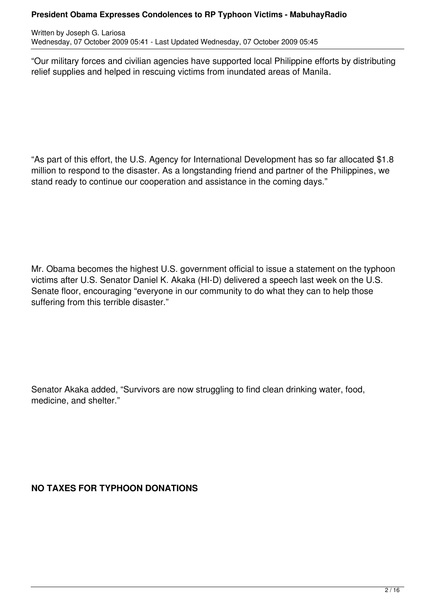Written by Joseph G. Lariosa Wednesday, 07 October 2009 05:41 - Last Updated Wednesday, 07 October 2009 05:45

"Our military forces and civilian agencies have supported local Philippine efforts by distributing relief supplies and helped in rescuing victims from inundated areas of Manila.

"As part of this effort, the U.S. Agency for International Development has so far allocated \$1.8 million to respond to the disaster. As a longstanding friend and partner of the Philippines, we stand ready to continue our cooperation and assistance in the coming days."

Mr. Obama becomes the highest U.S. government official to issue a statement on the typhoon victims after U.S. Senator Daniel K. Akaka (HI-D) delivered a speech last week on the U.S. Senate floor, encouraging "everyone in our community to do what they can to help those suffering from this terrible disaster."

Senator Akaka added, "Survivors are now struggling to find clean drinking water, food, medicine, and shelter."

**NO TAXES FOR TYPHOON DONATIONS**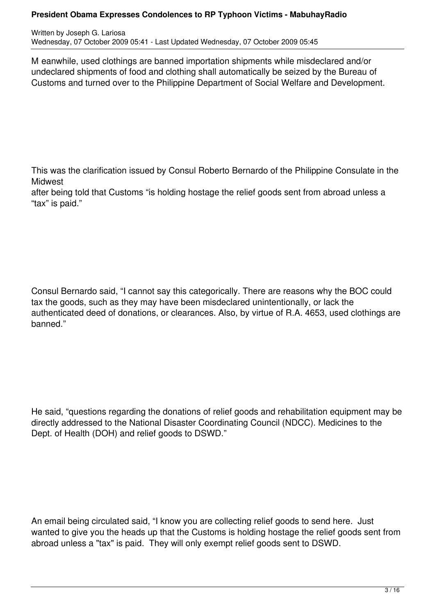Written by Joseph G. Lariosa Wednesday, 07 October 2009 05:41 - Last Updated Wednesday, 07 October 2009 05:45

M eanwhile, used clothings are banned importation shipments while misdeclared and/or undeclared shipments of food and clothing shall automatically be seized by the Bureau of Customs and turned over to the Philippine Department of Social Welfare and Development.

This was the clarification issued by Consul Roberto Bernardo of the Philippine Consulate in the **Midwest** 

after being told that Customs "is holding hostage the relief goods sent from abroad unless a "tax" is paid."

Consul Bernardo said, "I cannot say this categorically. There are reasons why the BOC could tax the goods, such as they may have been misdeclared unintentionally, or lack the authenticated deed of donations, or clearances. Also, by virtue of R.A. 4653, used clothings are banned."

He said, "questions regarding the donations of relief goods and rehabilitation equipment may be directly addressed to the National Disaster Coordinating Council (NDCC). Medicines to the Dept. of Health (DOH) and relief goods to DSWD."

An email being circulated said, "I know you are collecting relief goods to send here. Just wanted to give you the heads up that the Customs is holding hostage the relief goods sent from abroad unless a "tax" is paid. They will only exempt relief goods sent to DSWD.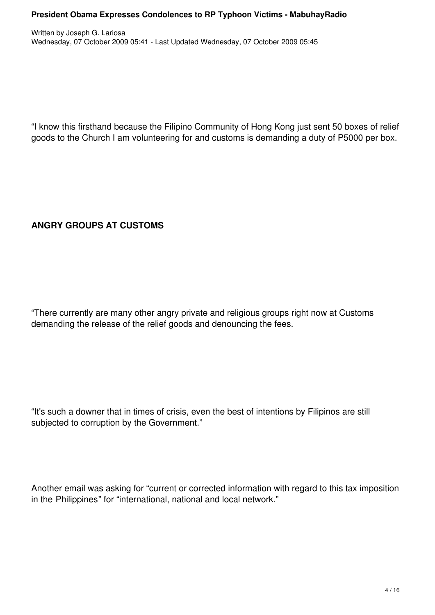Written by Joseph G. Lariosa Wednesday, 07 October 2009 05:41 - Last Updated Wednesday, 07 October 2009 05:45

"I know this firsthand because the Filipino Community of Hong Kong just sent 50 boxes of relief goods to the Church I am volunteering for and customs is demanding a duty of P5000 per box.

# **ANGRY GROUPS AT CUSTOMS**

"There currently are many other angry private and religious groups right now at Customs demanding the release of the relief goods and denouncing the fees.

"It's such a downer that in times of crisis, even the best of intentions by Filipinos are still subjected to corruption by the Government."

Another email was asking for "current or corrected information with regard to this tax imposition in the Philippines" for "international, national and local network."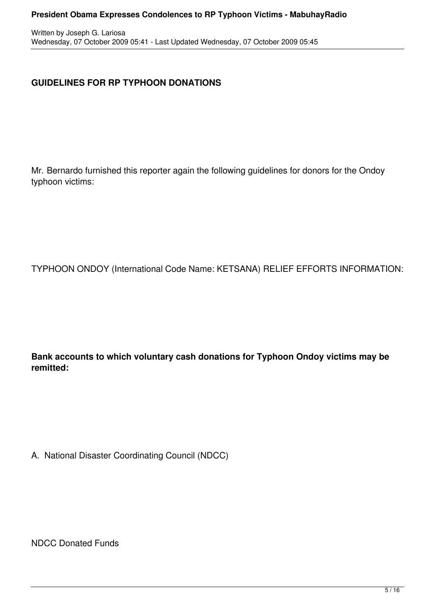# **GUIDELINES FOR RP TYPHOON DONATIONS**

Mr. Bernardo furnished this reporter again the following guidelines for donors for the Ondoy typhoon victims:

TYPHOON ONDOY (International Code Name: KETSANA) RELIEF EFFORTS INFORMATION:

**Bank accounts to which voluntary cash donations for Typhoon Ondoy victims may be remitted:**

A. National Disaster Coordinating Council (NDCC)

NDCC Donated Funds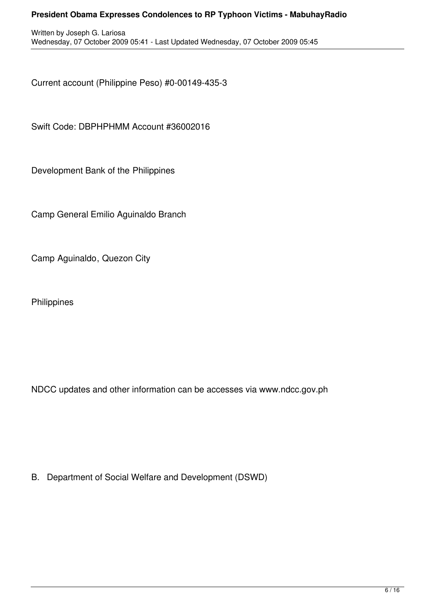Current account (Philippine Peso) #0-00149-435-3

Swift Code: DBPHPHMM Account #36002016

Development Bank of the Philippines

Camp General Emilio Aguinaldo Branch

Camp Aguinaldo, Quezon City

**Philippines** 

NDCC updates and other information can be accesses via www.ndcc.gov.ph

B. Department of Social Welfare and Development (DSWD)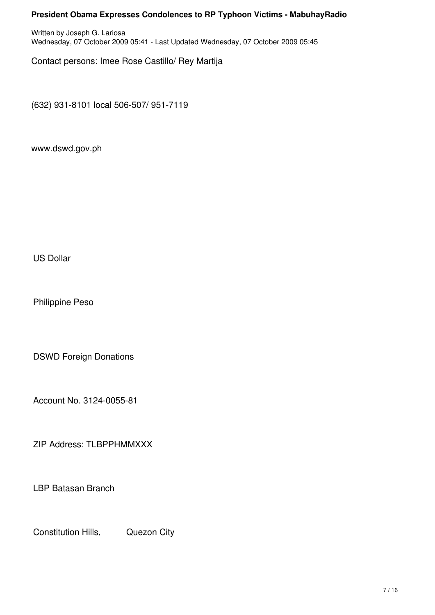Written by Joseph G. Lariosa Wednesday, 07 October 2009 05:41 - Last Updated Wednesday, 07 October 2009 05:45

Contact persons: Imee Rose Castillo/ Rey Martija

(632) 931-8101 local 506-507/ 951-7119

www.dswd.gov.ph

US Dollar

Philippine Peso

DSWD Foreign Donations

Account No. 3124-0055-81

ZIP Address: TLBPPHMMXXX

LBP Batasan Branch

Constitution Hills, Quezon City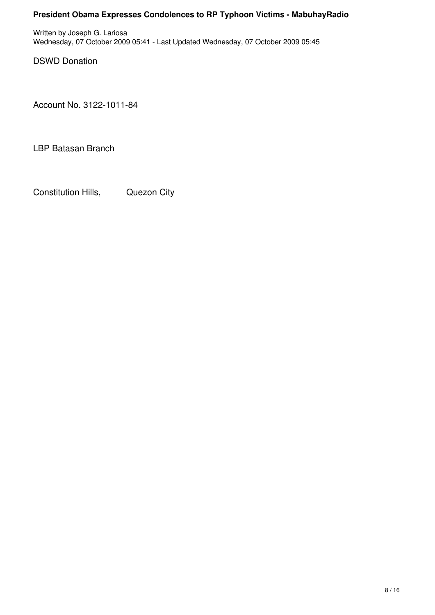Written by Joseph G. Lariosa Wednesday, 07 October 2009 05:41 - Last Updated Wednesday, 07 October 2009 05:45

DSWD Donation

Account No. 3122-1011-84

LBP Batasan Branch

Constitution Hills, Quezon City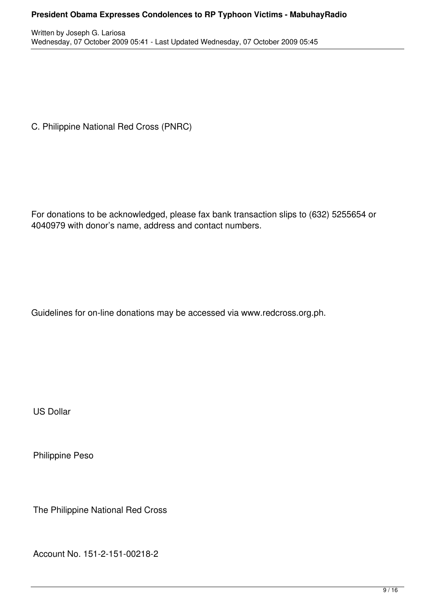Written by Joseph G. Lariosa Wednesday, 07 October 2009 05:41 - Last Updated Wednesday, 07 October 2009 05:45

C. Philippine National Red Cross (PNRC)

For donations to be acknowledged, please fax bank transaction slips to (632) 5255654 or 4040979 with donor's name, address and contact numbers.

Guidelines for on-line donations may be accessed via www.redcross.org.ph.

US Dollar

Philippine Peso

The Philippine National Red Cross

Account No. 151-2-151-00218-2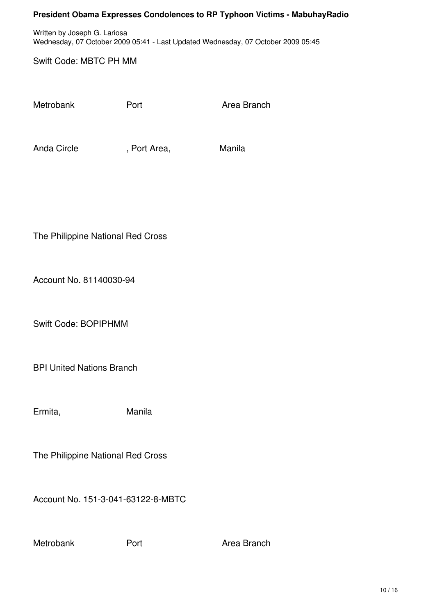Written by Joseph G. Lariosa Wednesday, 07 October 2009 05:41 - Last Updated Wednesday, 07 October 2009 05:45

#### Swift Code: MBTC PH MM

Metrobank Port **Port** Port Area Branch

Anda Circle **Canada Circle** , Port Area, **Manila** 

The Philippine National Red Cross

Account No. 81140030-94

Swift Code: BOPIPHMM

BPI United Nations Branch

Ermita, Manila

The Philippine National Red Cross

Account No. 151-3-041-63122-8-MBTC

Metrobank Port **Provident Area Branch**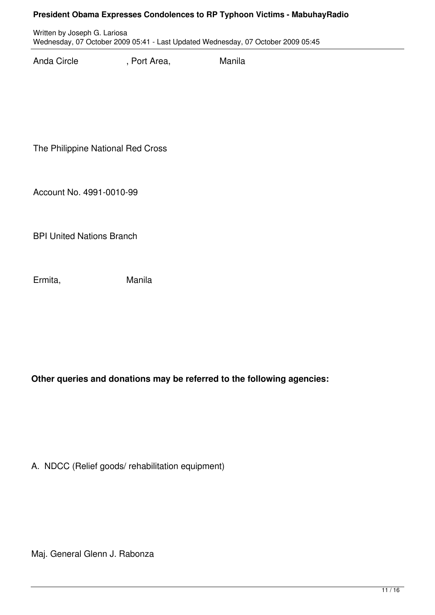Written by Joseph G. Lariosa Wednesday, 07 October 2009 05:41 - Last Updated Wednesday, 07 October 2009 05:45

Anda Circle **Canada Circle** , Port Area, **Manila** 

The Philippine National Red Cross

Account No. 4991-0010-99

BPI United Nations Branch

Ermita, Manila

**Other queries and donations may be referred to the following agencies:**

A. NDCC (Relief goods/ rehabilitation equipment)

Maj. General Glenn J. Rabonza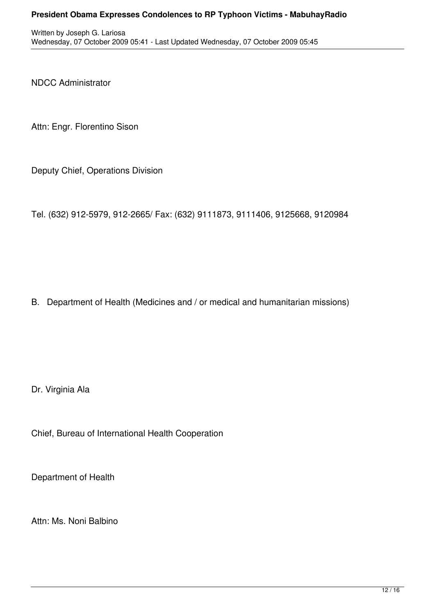NDCC Administrator

Attn: Engr. Florentino Sison

Deputy Chief, Operations Division

Tel. (632) 912-5979, 912-2665/ Fax: (632) 9111873, 9111406, 9125668, 9120984

B. Department of Health (Medicines and / or medical and humanitarian missions)

Dr. Virginia Ala

Chief, Bureau of International Health Cooperation

Department of Health

Attn: Ms. Noni Balbino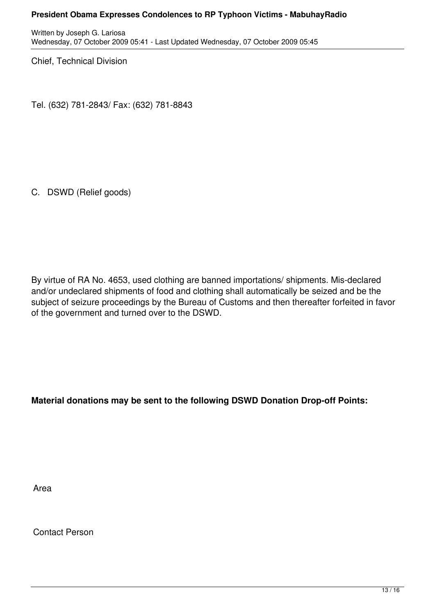Written by Joseph G. Lariosa Wednesday, 07 October 2009 05:41 - Last Updated Wednesday, 07 October 2009 05:45

Chief, Technical Division

Tel. (632) 781-2843/ Fax: (632) 781-8843

C. DSWD (Relief goods)

By virtue of RA No. 4653, used clothing are banned importations/ shipments. Mis-declared and/or undeclared shipments of food and clothing shall automatically be seized and be the subject of seizure proceedings by the Bureau of Customs and then thereafter forfeited in favor of the government and turned over to the DSWD.

**Material donations may be sent to the following DSWD Donation Drop-off Points:**

Area

Contact Person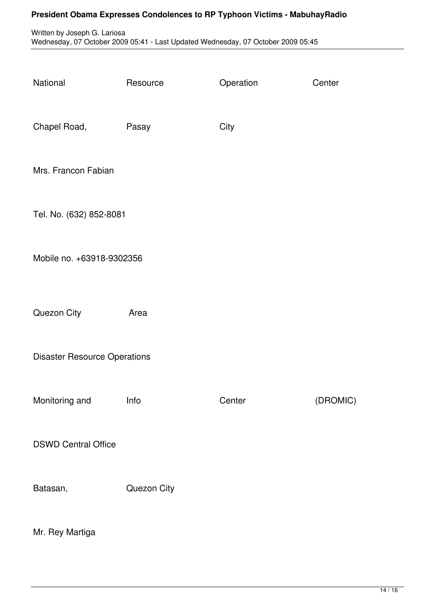Written by Joseph G. Lariosa Wednesday, 07 October 2009 05:41 - Last Updated Wednesday, 07 October 2009 05:45

| National                            | Resource    | Operation | Center   |
|-------------------------------------|-------------|-----------|----------|
| Chapel Road,                        | Pasay       | City      |          |
| Mrs. Francon Fabian                 |             |           |          |
| Tel. No. (632) 852-8081             |             |           |          |
| Mobile no. +63918-9302356           |             |           |          |
| Quezon City                         | Area        |           |          |
| <b>Disaster Resource Operations</b> |             |           |          |
| Monitoring and                      | Info        | Center    | (DROMIC) |
| <b>DSWD Central Office</b>          |             |           |          |
| Batasan,                            | Quezon City |           |          |
| Mr. Rey Martiga                     |             |           |          |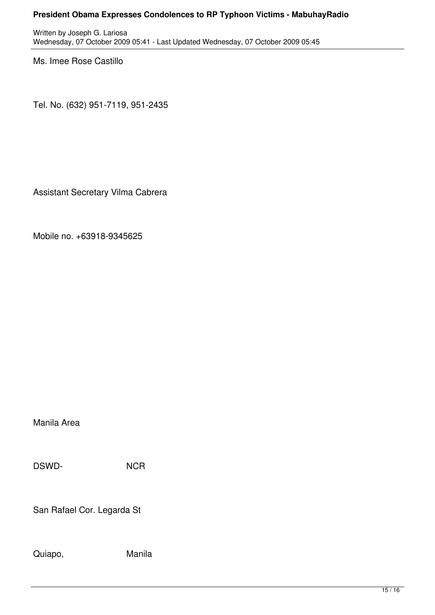Written by Joseph G. Lariosa Wednesday, 07 October 2009 05:41 - Last Updated Wednesday, 07 October 2009 05:45

Ms. Imee Rose Castillo

Tel. No. (632) 951-7119, 951-2435

Assistant Secretary Vilma Cabrera

Mobile no. +63918-9345625

Manila Area

DSWD- NCR

San Rafael Cor. Legarda St .

Quiapo, Manila